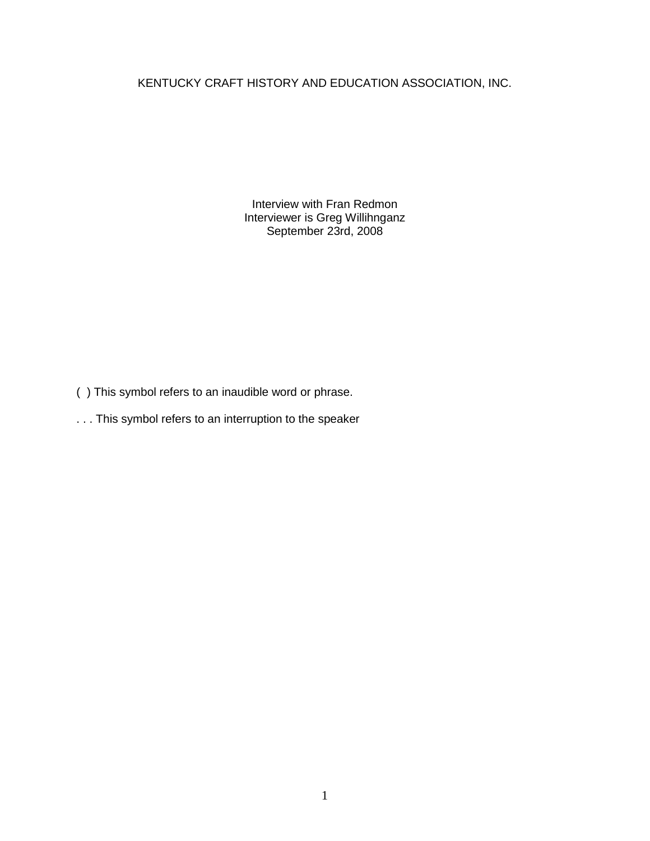KENTUCKY CRAFT HISTORY AND EDUCATION ASSOCIATION, INC.

Interview with Fran Redmon Interviewer is Greg Willihnganz September 23rd, 2008

( ) This symbol refers to an inaudible word or phrase.

. . . This symbol refers to an interruption to the speaker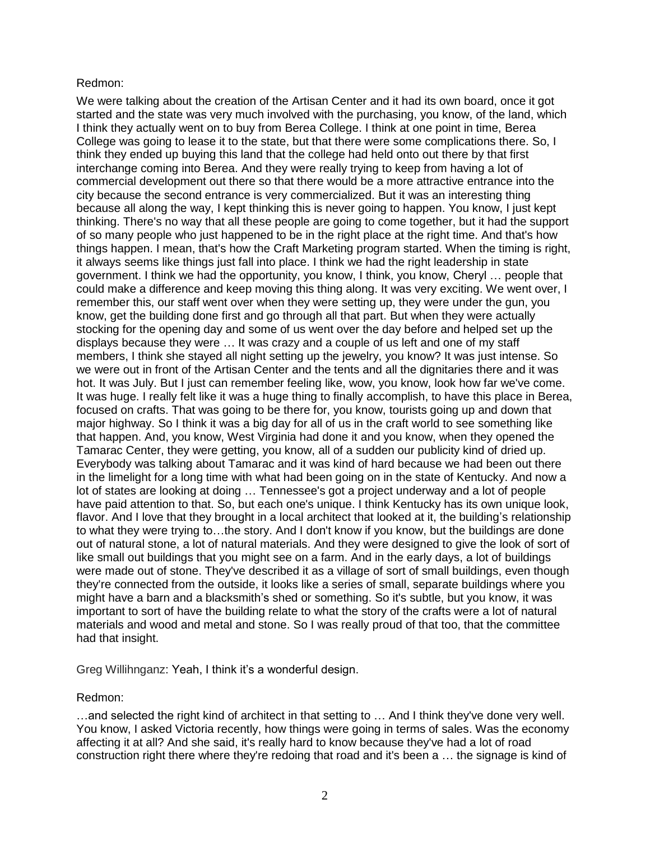# Redmon:

We were talking about the creation of the Artisan Center and it had its own board, once it got started and the state was very much involved with the purchasing, you know, of the land, which I think they actually went on to buy from Berea College. I think at one point in time, Berea College was going to lease it to the state, but that there were some complications there. So, I think they ended up buying this land that the college had held onto out there by that first interchange coming into Berea. And they were really trying to keep from having a lot of commercial development out there so that there would be a more attractive entrance into the city because the second entrance is very commercialized. But it was an interesting thing because all along the way, I kept thinking this is never going to happen. You know, I just kept thinking. There's no way that all these people are going to come together, but it had the support of so many people who just happened to be in the right place at the right time. And that's how things happen. I mean, that's how the Craft Marketing program started. When the timing is right, it always seems like things just fall into place. I think we had the right leadership in state government. I think we had the opportunity, you know, I think, you know, Cheryl … people that could make a difference and keep moving this thing along. It was very exciting. We went over, I remember this, our staff went over when they were setting up, they were under the gun, you know, get the building done first and go through all that part. But when they were actually stocking for the opening day and some of us went over the day before and helped set up the displays because they were … It was crazy and a couple of us left and one of my staff members, I think she stayed all night setting up the jewelry, you know? It was just intense. So we were out in front of the Artisan Center and the tents and all the dignitaries there and it was hot. It was July. But I just can remember feeling like, wow, you know, look how far we've come. It was huge. I really felt like it was a huge thing to finally accomplish, to have this place in Berea, focused on crafts. That was going to be there for, you know, tourists going up and down that major highway. So I think it was a big day for all of us in the craft world to see something like that happen. And, you know, West Virginia had done it and you know, when they opened the Tamarac Center, they were getting, you know, all of a sudden our publicity kind of dried up. Everybody was talking about Tamarac and it was kind of hard because we had been out there in the limelight for a long time with what had been going on in the state of Kentucky. And now a lot of states are looking at doing … Tennessee's got a project underway and a lot of people have paid attention to that. So, but each one's unique. I think Kentucky has its own unique look, flavor. And I love that they brought in a local architect that looked at it, the building's relationship to what they were trying to…the story. And I don't know if you know, but the buildings are done out of natural stone, a lot of natural materials. And they were designed to give the look of sort of like small out buildings that you might see on a farm. And in the early days, a lot of buildings were made out of stone. They've described it as a village of sort of small buildings, even though they're connected from the outside, it looks like a series of small, separate buildings where you might have a barn and a blacksmith's shed or something. So it's subtle, but you know, it was important to sort of have the building relate to what the story of the crafts were a lot of natural materials and wood and metal and stone. So I was really proud of that too, that the committee had that insight.

Greg Willihnganz: Yeah, I think it's a wonderful design.

# Redmon:

…and selected the right kind of architect in that setting to … And I think they've done very well. You know, I asked Victoria recently, how things were going in terms of sales. Was the economy affecting it at all? And she said, it's really hard to know because they've had a lot of road construction right there where they're redoing that road and it's been a … the signage is kind of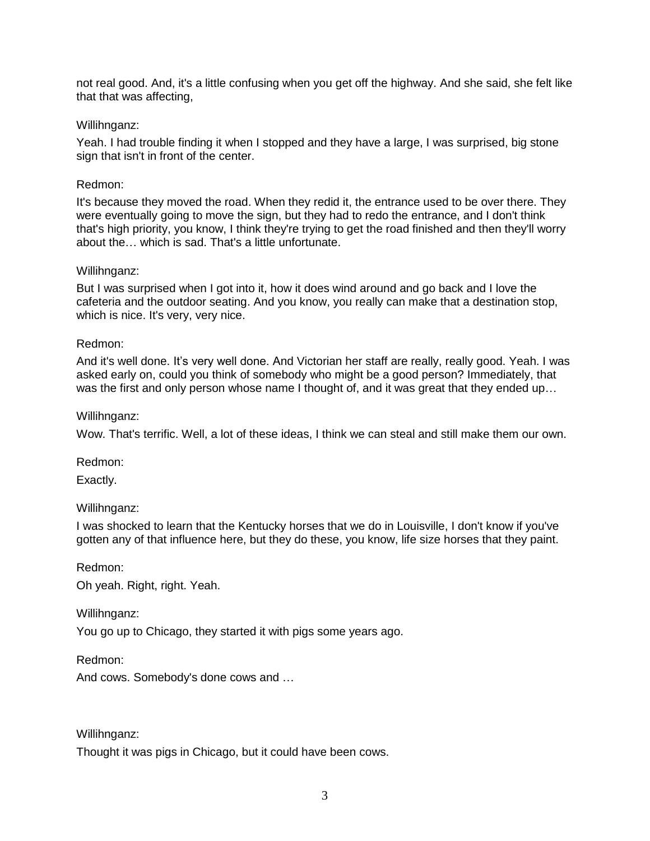not real good. And, it's a little confusing when you get off the highway. And she said, she felt like that that was affecting,

### Willihnganz:

Yeah. I had trouble finding it when I stopped and they have a large, I was surprised, big stone sign that isn't in front of the center.

# Redmon:

It's because they moved the road. When they redid it, the entrance used to be over there. They were eventually going to move the sign, but they had to redo the entrance, and I don't think that's high priority, you know, I think they're trying to get the road finished and then they'll worry about the… which is sad. That's a little unfortunate.

#### Willihnganz:

But I was surprised when I got into it, how it does wind around and go back and I love the cafeteria and the outdoor seating. And you know, you really can make that a destination stop, which is nice. It's very, very nice.

# Redmon:

And it's well done. It's very well done. And Victorian her staff are really, really good. Yeah. I was asked early on, could you think of somebody who might be a good person? Immediately, that was the first and only person whose name I thought of, and it was great that they ended up...

# Willihnganz:

Wow. That's terrific. Well, a lot of these ideas, I think we can steal and still make them our own.

Redmon:

Exactly.

#### Willihnganz:

I was shocked to learn that the Kentucky horses that we do in Louisville, I don't know if you've gotten any of that influence here, but they do these, you know, life size horses that they paint.

#### Redmon:

Oh yeah. Right, right. Yeah.

# Willihnganz:

You go up to Chicago, they started it with pigs some years ago.

Redmon:

And cows. Somebody's done cows and …

Willihnganz:

Thought it was pigs in Chicago, but it could have been cows.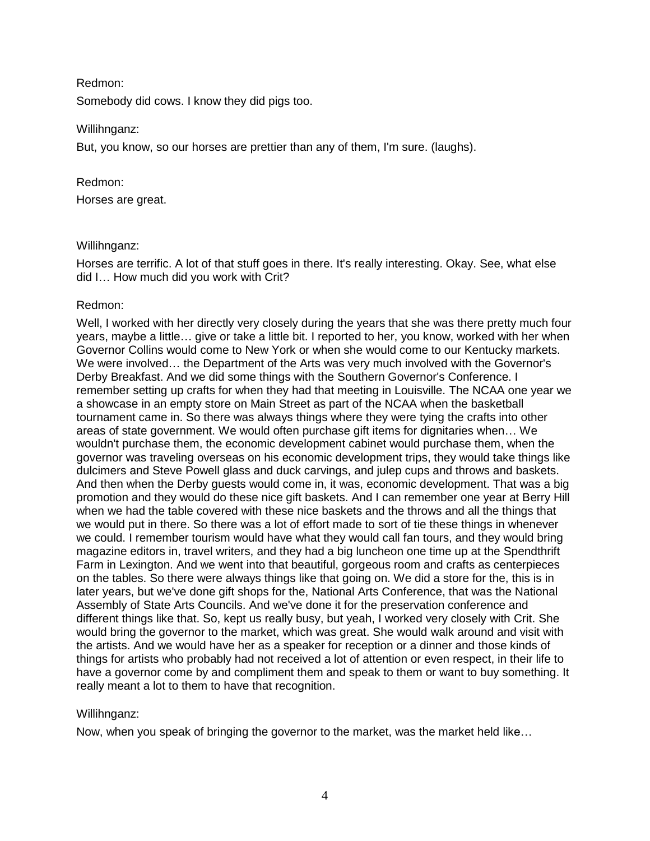Redmon:

Somebody did cows. I know they did pigs too.

# Willihnganz:

But, you know, so our horses are prettier than any of them, I'm sure. (laughs).

# Redmon:

Horses are great.

# Willihnganz:

Horses are terrific. A lot of that stuff goes in there. It's really interesting. Okay. See, what else did I… How much did you work with Crit?

# Redmon:

Well, I worked with her directly very closely during the years that she was there pretty much four years, maybe a little… give or take a little bit. I reported to her, you know, worked with her when Governor Collins would come to New York or when she would come to our Kentucky markets. We were involved… the Department of the Arts was very much involved with the Governor's Derby Breakfast. And we did some things with the Southern Governor's Conference. I remember setting up crafts for when they had that meeting in Louisville. The NCAA one year we a showcase in an empty store on Main Street as part of the NCAA when the basketball tournament came in. So there was always things where they were tying the crafts into other areas of state government. We would often purchase gift items for dignitaries when… We wouldn't purchase them, the economic development cabinet would purchase them, when the governor was traveling overseas on his economic development trips, they would take things like dulcimers and Steve Powell glass and duck carvings, and julep cups and throws and baskets. And then when the Derby guests would come in, it was, economic development. That was a big promotion and they would do these nice gift baskets. And I can remember one year at Berry Hill when we had the table covered with these nice baskets and the throws and all the things that we would put in there. So there was a lot of effort made to sort of tie these things in whenever we could. I remember tourism would have what they would call fan tours, and they would bring magazine editors in, travel writers, and they had a big luncheon one time up at the Spendthrift Farm in Lexington. And we went into that beautiful, gorgeous room and crafts as centerpieces on the tables. So there were always things like that going on. We did a store for the, this is in later years, but we've done gift shops for the, National Arts Conference, that was the National Assembly of State Arts Councils. And we've done it for the preservation conference and different things like that. So, kept us really busy, but yeah, I worked very closely with Crit. She would bring the governor to the market, which was great. She would walk around and visit with the artists. And we would have her as a speaker for reception or a dinner and those kinds of things for artists who probably had not received a lot of attention or even respect, in their life to have a governor come by and compliment them and speak to them or want to buy something. It really meant a lot to them to have that recognition.

# Willihnganz:

Now, when you speak of bringing the governor to the market, was the market held like…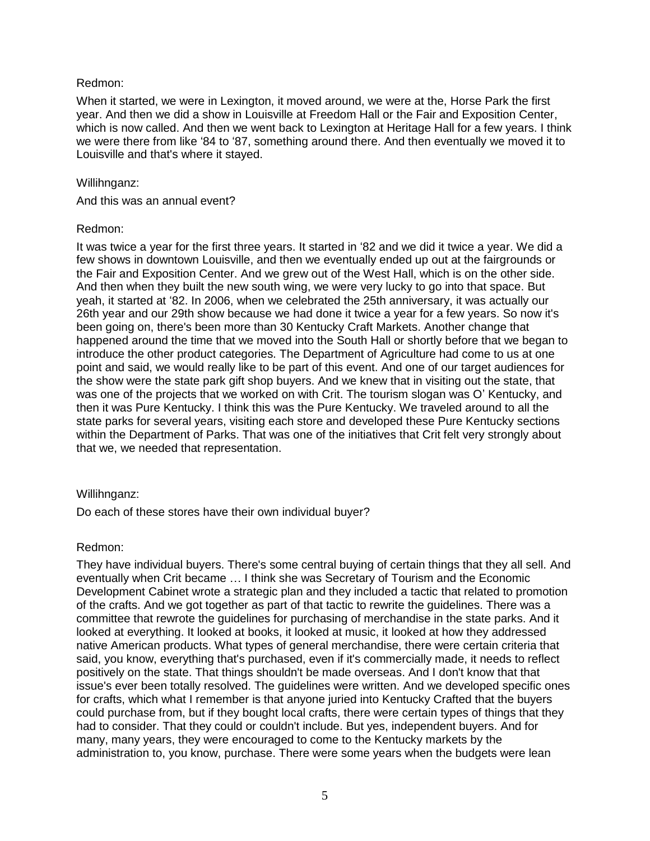# Redmon:

When it started, we were in Lexington, it moved around, we were at the, Horse Park the first year. And then we did a show in Louisville at Freedom Hall or the Fair and Exposition Center, which is now called. And then we went back to Lexington at Heritage Hall for a few years. I think we were there from like '84 to '87, something around there. And then eventually we moved it to Louisville and that's where it stayed.

### Willihnganz:

And this was an annual event?

# Redmon:

It was twice a year for the first three years. It started in '82 and we did it twice a year. We did a few shows in downtown Louisville, and then we eventually ended up out at the fairgrounds or the Fair and Exposition Center. And we grew out of the West Hall, which is on the other side. And then when they built the new south wing, we were very lucky to go into that space. But yeah, it started at '82. In 2006, when we celebrated the 25th anniversary, it was actually our 26th year and our 29th show because we had done it twice a year for a few years. So now it's been going on, there's been more than 30 Kentucky Craft Markets. Another change that happened around the time that we moved into the South Hall or shortly before that we began to introduce the other product categories. The Department of Agriculture had come to us at one point and said, we would really like to be part of this event. And one of our target audiences for the show were the state park gift shop buyers. And we knew that in visiting out the state, that was one of the projects that we worked on with Crit. The tourism slogan was O' Kentucky, and then it was Pure Kentucky. I think this was the Pure Kentucky. We traveled around to all the state parks for several years, visiting each store and developed these Pure Kentucky sections within the Department of Parks. That was one of the initiatives that Crit felt very strongly about that we, we needed that representation.

# Willihnganz:

Do each of these stores have their own individual buyer?

# Redmon:

They have individual buyers. There's some central buying of certain things that they all sell. And eventually when Crit became … I think she was Secretary of Tourism and the Economic Development Cabinet wrote a strategic plan and they included a tactic that related to promotion of the crafts. And we got together as part of that tactic to rewrite the guidelines. There was a committee that rewrote the guidelines for purchasing of merchandise in the state parks. And it looked at everything. It looked at books, it looked at music, it looked at how they addressed native American products. What types of general merchandise, there were certain criteria that said, you know, everything that's purchased, even if it's commercially made, it needs to reflect positively on the state. That things shouldn't be made overseas. And I don't know that that issue's ever been totally resolved. The guidelines were written. And we developed specific ones for crafts, which what I remember is that anyone juried into Kentucky Crafted that the buyers could purchase from, but if they bought local crafts, there were certain types of things that they had to consider. That they could or couldn't include. But yes, independent buyers. And for many, many years, they were encouraged to come to the Kentucky markets by the administration to, you know, purchase. There were some years when the budgets were lean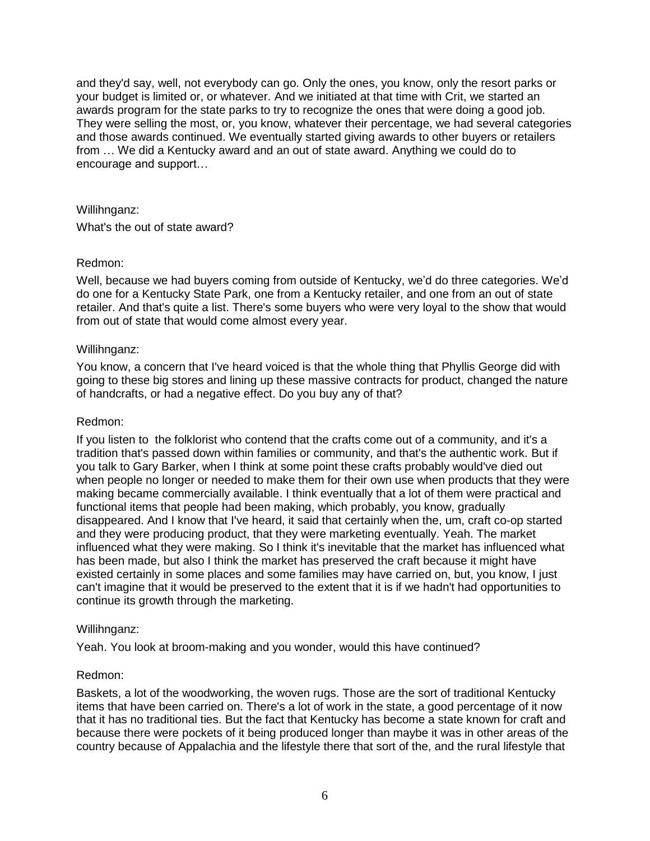and they'd say, well, not everybody can go. Only the ones, you know, only the resort parks or your budget is limited or, or whatever. And we initiated at that time with Crit, we started an awards program for the state parks to try to recognize the ones that were doing a good job. They were selling the most, or, you know, whatever their percentage, we had several categories and those awards continued. We eventually started giving awards to other buyers or retailers from … We did a Kentucky award and an out of state award. Anything we could do to encourage and support…

### Willihnganz:

What's the out of state award?

# Redmon:

Well, because we had buyers coming from outside of Kentucky, we'd do three categories. We'd do one for a Kentucky State Park, one from a Kentucky retailer, and one from an out of state retailer. And that's quite a list. There's some buyers who were very loyal to the show that would from out of state that would come almost every year.

#### Willihnganz:

You know, a concern that I've heard voiced is that the whole thing that Phyllis George did with going to these big stores and lining up these massive contracts for product, changed the nature of handcrafts, or had a negative effect. Do you buy any of that?

### Redmon:

If you listen to the folklorist who contend that the crafts come out of a community, and it's a tradition that's passed down within families or community, and that's the authentic work. But if you talk to Gary Barker, when I think at some point these crafts probably would've died out when people no longer or needed to make them for their own use when products that they were making became commercially available. I think eventually that a lot of them were practical and functional items that people had been making, which probably, you know, gradually disappeared. And I know that I've heard, it said that certainly when the, um, craft co-op started and they were producing product, that they were marketing eventually. Yeah. The market influenced what they were making. So I think it's inevitable that the market has influenced what has been made, but also I think the market has preserved the craft because it might have existed certainly in some places and some families may have carried on, but, you know, I just can't imagine that it would be preserved to the extent that it is if we hadn't had opportunities to continue its growth through the marketing.

#### Willihnganz:

Yeah. You look at broom-making and you wonder, would this have continued?

#### Redmon:

Baskets, a lot of the woodworking, the woven rugs. Those are the sort of traditional Kentucky items that have been carried on. There's a lot of work in the state, a good percentage of it now that it has no traditional ties. But the fact that Kentucky has become a state known for craft and because there were pockets of it being produced longer than maybe it was in other areas of the country because of Appalachia and the lifestyle there that sort of the, and the rural lifestyle that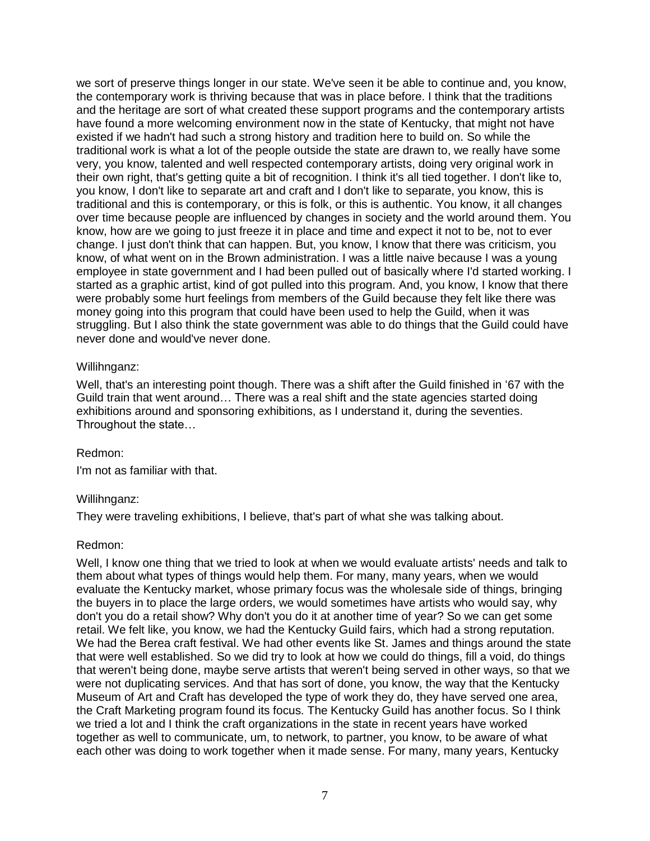we sort of preserve things longer in our state. We've seen it be able to continue and, you know, the contemporary work is thriving because that was in place before. I think that the traditions and the heritage are sort of what created these support programs and the contemporary artists have found a more welcoming environment now in the state of Kentucky, that might not have existed if we hadn't had such a strong history and tradition here to build on. So while the traditional work is what a lot of the people outside the state are drawn to, we really have some very, you know, talented and well respected contemporary artists, doing very original work in their own right, that's getting quite a bit of recognition. I think it's all tied together. I don't like to, you know, I don't like to separate art and craft and I don't like to separate, you know, this is traditional and this is contemporary, or this is folk, or this is authentic. You know, it all changes over time because people are influenced by changes in society and the world around them. You know, how are we going to just freeze it in place and time and expect it not to be, not to ever change. I just don't think that can happen. But, you know, I know that there was criticism, you know, of what went on in the Brown administration. I was a little naive because I was a young employee in state government and I had been pulled out of basically where I'd started working. I started as a graphic artist, kind of got pulled into this program. And, you know, I know that there were probably some hurt feelings from members of the Guild because they felt like there was money going into this program that could have been used to help the Guild, when it was struggling. But I also think the state government was able to do things that the Guild could have never done and would've never done.

#### Willihnganz:

Well, that's an interesting point though. There was a shift after the Guild finished in '67 with the Guild train that went around… There was a real shift and the state agencies started doing exhibitions around and sponsoring exhibitions, as I understand it, during the seventies. Throughout the state…

#### Redmon:

I'm not as familiar with that.

#### Willihnganz:

They were traveling exhibitions, I believe, that's part of what she was talking about.

#### Redmon:

Well, I know one thing that we tried to look at when we would evaluate artists' needs and talk to them about what types of things would help them. For many, many years, when we would evaluate the Kentucky market, whose primary focus was the wholesale side of things, bringing the buyers in to place the large orders, we would sometimes have artists who would say, why don't you do a retail show? Why don't you do it at another time of year? So we can get some retail. We felt like, you know, we had the Kentucky Guild fairs, which had a strong reputation. We had the Berea craft festival. We had other events like St. James and things around the state that were well established. So we did try to look at how we could do things, fill a void, do things that weren't being done, maybe serve artists that weren't being served in other ways, so that we were not duplicating services. And that has sort of done, you know, the way that the Kentucky Museum of Art and Craft has developed the type of work they do, they have served one area, the Craft Marketing program found its focus. The Kentucky Guild has another focus. So I think we tried a lot and I think the craft organizations in the state in recent years have worked together as well to communicate, um, to network, to partner, you know, to be aware of what each other was doing to work together when it made sense. For many, many years, Kentucky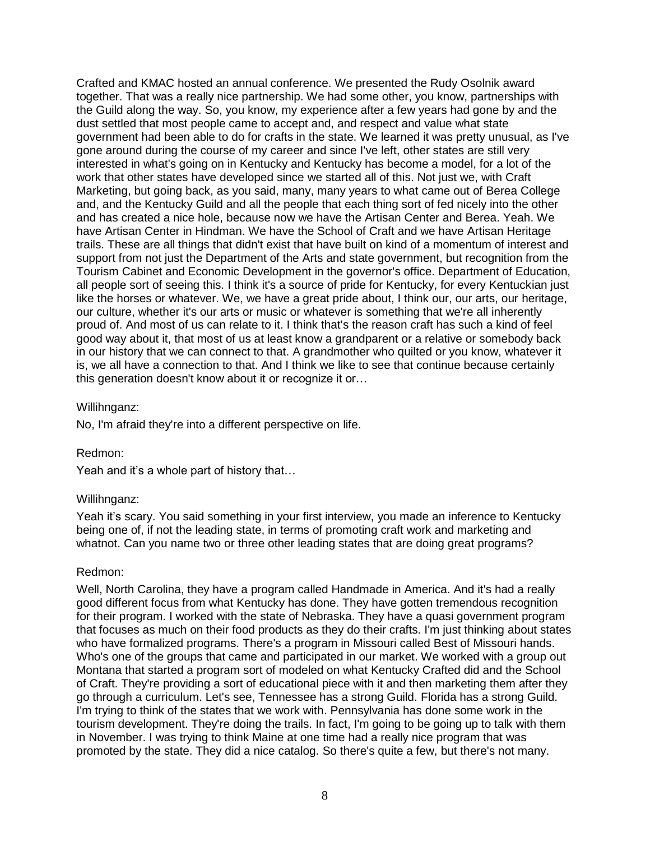Crafted and KMAC hosted an annual conference. We presented the Rudy Osolnik award together. That was a really nice partnership. We had some other, you know, partnerships with the Guild along the way. So, you know, my experience after a few years had gone by and the dust settled that most people came to accept and, and respect and value what state government had been able to do for crafts in the state. We learned it was pretty unusual, as I've gone around during the course of my career and since I've left, other states are still very interested in what's going on in Kentucky and Kentucky has become a model, for a lot of the work that other states have developed since we started all of this. Not just we, with Craft Marketing, but going back, as you said, many, many years to what came out of Berea College and, and the Kentucky Guild and all the people that each thing sort of fed nicely into the other and has created a nice hole, because now we have the Artisan Center and Berea. Yeah. We have Artisan Center in Hindman. We have the School of Craft and we have Artisan Heritage trails. These are all things that didn't exist that have built on kind of a momentum of interest and support from not just the Department of the Arts and state government, but recognition from the Tourism Cabinet and Economic Development in the governor's office. Department of Education, all people sort of seeing this. I think it's a source of pride for Kentucky, for every Kentuckian just like the horses or whatever. We, we have a great pride about, I think our, our arts, our heritage, our culture, whether it's our arts or music or whatever is something that we're all inherently proud of. And most of us can relate to it. I think that's the reason craft has such a kind of feel good way about it, that most of us at least know a grandparent or a relative or somebody back in our history that we can connect to that. A grandmother who quilted or you know, whatever it is, we all have a connection to that. And I think we like to see that continue because certainly this generation doesn't know about it or recognize it or…

# Willihnganz:

No, I'm afraid they're into a different perspective on life.

#### Redmon:

Yeah and it's a whole part of history that…

#### Willihnganz:

Yeah it's scary. You said something in your first interview, you made an inference to Kentucky being one of, if not the leading state, in terms of promoting craft work and marketing and whatnot. Can you name two or three other leading states that are doing great programs?

#### Redmon:

Well, North Carolina, they have a program called Handmade in America. And it's had a really good different focus from what Kentucky has done. They have gotten tremendous recognition for their program. I worked with the state of Nebraska. They have a quasi government program that focuses as much on their food products as they do their crafts. I'm just thinking about states who have formalized programs. There's a program in Missouri called Best of Missouri hands. Who's one of the groups that came and participated in our market. We worked with a group out Montana that started a program sort of modeled on what Kentucky Crafted did and the School of Craft. They're providing a sort of educational piece with it and then marketing them after they go through a curriculum. Let's see, Tennessee has a strong Guild. Florida has a strong Guild. I'm trying to think of the states that we work with. Pennsylvania has done some work in the tourism development. They're doing the trails. In fact, I'm going to be going up to talk with them in November. I was trying to think Maine at one time had a really nice program that was promoted by the state. They did a nice catalog. So there's quite a few, but there's not many.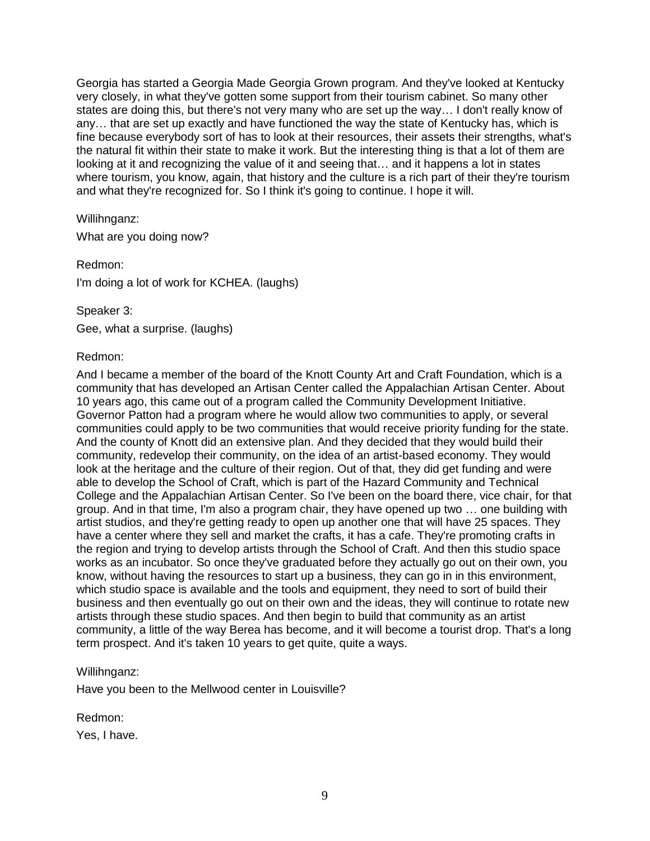Georgia has started a Georgia Made Georgia Grown program. And they've looked at Kentucky very closely, in what they've gotten some support from their tourism cabinet. So many other states are doing this, but there's not very many who are set up the way… I don't really know of any… that are set up exactly and have functioned the way the state of Kentucky has, which is fine because everybody sort of has to look at their resources, their assets their strengths, what's the natural fit within their state to make it work. But the interesting thing is that a lot of them are looking at it and recognizing the value of it and seeing that… and it happens a lot in states where tourism, you know, again, that history and the culture is a rich part of their they're tourism and what they're recognized for. So I think it's going to continue. I hope it will.

Willihnganz:

What are you doing now?

Redmon:

I'm doing a lot of work for KCHEA. (laughs)

Speaker 3:

Gee, what a surprise. (laughs)

#### Redmon:

And I became a member of the board of the Knott County Art and Craft Foundation, which is a community that has developed an Artisan Center called the Appalachian Artisan Center. About 10 years ago, this came out of a program called the Community Development Initiative. Governor Patton had a program where he would allow two communities to apply, or several communities could apply to be two communities that would receive priority funding for the state. And the county of Knott did an extensive plan. And they decided that they would build their community, redevelop their community, on the idea of an artist-based economy. They would look at the heritage and the culture of their region. Out of that, they did get funding and were able to develop the School of Craft, which is part of the Hazard Community and Technical College and the Appalachian Artisan Center. So I've been on the board there, vice chair, for that group. And in that time, I'm also a program chair, they have opened up two … one building with artist studios, and they're getting ready to open up another one that will have 25 spaces. They have a center where they sell and market the crafts, it has a cafe. They're promoting crafts in the region and trying to develop artists through the School of Craft. And then this studio space works as an incubator. So once they've graduated before they actually go out on their own, you know, without having the resources to start up a business, they can go in in this environment, which studio space is available and the tools and equipment, they need to sort of build their business and then eventually go out on their own and the ideas, they will continue to rotate new artists through these studio spaces. And then begin to build that community as an artist community, a little of the way Berea has become, and it will become a tourist drop. That's a long term prospect. And it's taken 10 years to get quite, quite a ways.

#### Willihnganz:

Have you been to the Mellwood center in Louisville?

Redmon:

Yes, I have.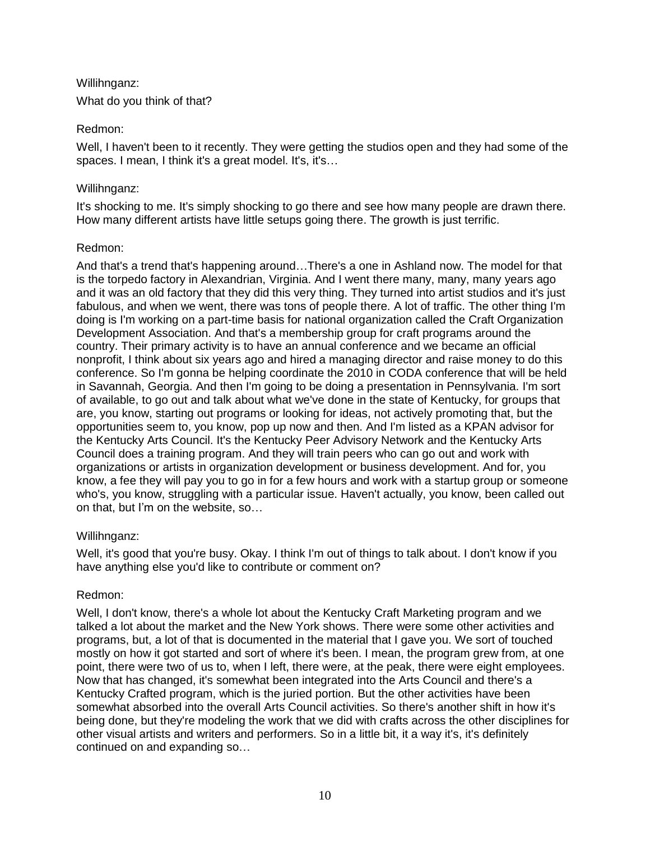# Willihnganz:

What do you think of that?

# Redmon:

Well, I haven't been to it recently. They were getting the studios open and they had some of the spaces. I mean, I think it's a great model. It's, it's...

# Willihnganz:

It's shocking to me. It's simply shocking to go there and see how many people are drawn there. How many different artists have little setups going there. The growth is just terrific.

# Redmon:

And that's a trend that's happening around…There's a one in Ashland now. The model for that is the torpedo factory in Alexandrian, Virginia. And I went there many, many, many years ago and it was an old factory that they did this very thing. They turned into artist studios and it's just fabulous, and when we went, there was tons of people there. A lot of traffic. The other thing I'm doing is I'm working on a part-time basis for national organization called the Craft Organization Development Association. And that's a membership group for craft programs around the country. Their primary activity is to have an annual conference and we became an official nonprofit, I think about six years ago and hired a managing director and raise money to do this conference. So I'm gonna be helping coordinate the 2010 in CODA conference that will be held in Savannah, Georgia. And then I'm going to be doing a presentation in Pennsylvania. I'm sort of available, to go out and talk about what we've done in the state of Kentucky, for groups that are, you know, starting out programs or looking for ideas, not actively promoting that, but the opportunities seem to, you know, pop up now and then. And I'm listed as a KPAN advisor for the Kentucky Arts Council. It's the Kentucky Peer Advisory Network and the Kentucky Arts Council does a training program. And they will train peers who can go out and work with organizations or artists in organization development or business development. And for, you know, a fee they will pay you to go in for a few hours and work with a startup group or someone who's, you know, struggling with a particular issue. Haven't actually, you know, been called out on that, but I'm on the website, so…

# Willihnganz:

Well, it's good that you're busy. Okay. I think I'm out of things to talk about. I don't know if you have anything else you'd like to contribute or comment on?

# Redmon:

Well, I don't know, there's a whole lot about the Kentucky Craft Marketing program and we talked a lot about the market and the New York shows. There were some other activities and programs, but, a lot of that is documented in the material that I gave you. We sort of touched mostly on how it got started and sort of where it's been. I mean, the program grew from, at one point, there were two of us to, when I left, there were, at the peak, there were eight employees. Now that has changed, it's somewhat been integrated into the Arts Council and there's a Kentucky Crafted program, which is the juried portion. But the other activities have been somewhat absorbed into the overall Arts Council activities. So there's another shift in how it's being done, but they're modeling the work that we did with crafts across the other disciplines for other visual artists and writers and performers. So in a little bit, it a way it's, it's definitely continued on and expanding so…